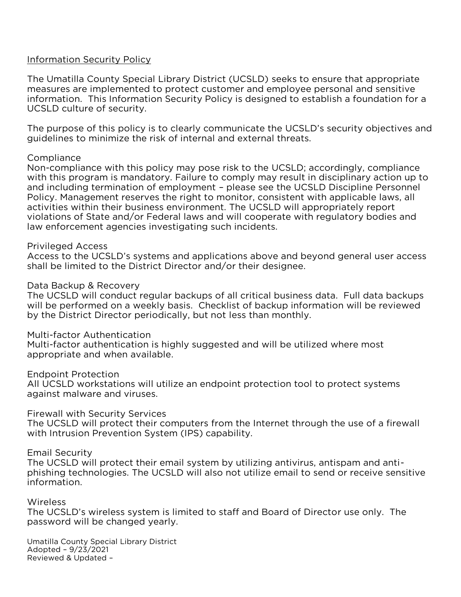# <u>Information Security Policy</u>

The Umatilla County Special Library District (UCSLD) seeks to ensure that appropriate information. This Information Security Policy is designed to establish a foundation for a UCSLD culture of security. UCSLD culture of security.

quidelines to minimize the risk of internal and external threats. guidelines to minimize the risk of internal and external threats.

Compliance<br>Non-compliance with this policy may pose risk to the UCSLD; accordingly, compliance with this program is mandatory. Failure to comply may result in disciplinary action up to and including termination of employment - please see the UCSLD Discipline Personnel Policy. Management reserves the right to monitor, consistent with applicable laws, all activities within their business environment. The UCSLD will appropriately report violations of State and/or Federal laws and will cooperate with regulatory bodies and law enforcement agencies investigating such incidents. law enforcement agencies investigating such incidents.

# **Privileged Access**

Access to the UCSLD's systems and applications above and beyond general user access shall be limited to the District Director and/or their designee. shall be limited to the District Director and/or their designee.

Data Backup & Recovery<br>The UCSLD will conduct regular backups of all critical business data. Full data backups will be performed on a weekly basis. Checklist of backup information will be reviewed by the District Director periodically, but not less than monthly. by the District Director periodically, but not less than monthly.

### Multi-factor Authentication

Multi-factor authentication is highly suggested and will be utilized where most appropriate and when available. appropriate and when available.

### **Endpoint Protection**

All UCSLD workstations will utilize an endpoint protection tool to protect systems against malware and viruses. against malware and viruses.

Firewall with Security Services<br>The UCSLD will protect their computers from the Internet through the use of a firewall with Intrusion Prevention System (IPS) capability. with Intrusion Prevention System (IPS) capability.

Email Security<br>The UCSLD will protect their email system by utilizing antivirus, antispam and antiphishing technologies. The UCSLD will also not utilize email to send or receive sensitive information. information.

### Wireless

The UCSLD's wireless system is limited to staff and Board of Director use only. The password will be changed yearly. password will be changed yearly.

Umatilla County Special Library District<br>Adopted - 9/23/2021 Reviewed & Updated -Reviewed & Updated –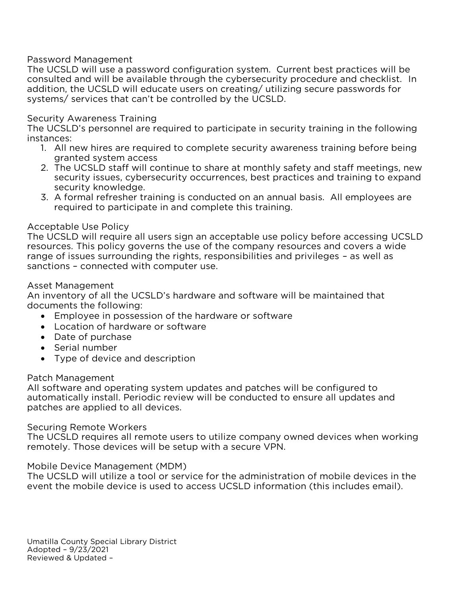Password Management<br>The UCSLD will use a password configuration system. Current best practices will be consulted and will be available through the cybersecurity procedure and checklist. In addition, the UCSLD will educate users on creating/ utilizing secure passwords for systems/ services that can't be controlled by the UCSLD. systems/ services that can't be controlled by the UCSLD.

The UCSLD's personnel are r The UCSLD's personnel are required to participate in security training in the following instances:<br>1. All new hires are required to complete security awareness training before being

- granted system access
- 2. The UCSLD staff will continue to share at monthly safety and staff meetings, new security issues, cybersecurity occurrences, best practices and training to expand security knowledge.
- 3. A formal refresher training is conducted on an annual basis. All employees are 3. A formal refresher training is conducted on an annual basis. All employees are<br>required to participate in and complete this training. required to participate in and complete this training.

Acceptable Use Policy<br>The UCSLD will require all users sign an acceptable use policy before accessing UCSLD resources. This policy governs the use of the company resources and covers a wide range of issues surrounding the rights, responsibilities and privileges - as well as sanctions - connected with computer use. sanctions – connected with computer use.

Asset Management<br>An inventory of all the UCSLD's hardware and software will be maintained that documents the following:

- Employee in possession of the hardware or software<br>• Location of bardware or software
	- Location of hardware or software
	- Date of purchase
	- Serial number
	- Type of device and description

# Patch Management

All software and operating system updates and patches will be configured to automatically install. Periodic review will be conducted to ensure all updates and patches are applied to all devices. patches are applied to all devices.

Securing Remote Workers<br>The UCSLD requires all remote users to utilize company owned devices when working remotely. Those devices will be setup with a secure VPN. remotely. Those devices will be setup with a secure VPN.

Mobile Device Management (MDM)<br>The UCSLD will utilize a tool or service for the administration of mobile devices in the event the mobile device is used to access UCSLD information (this includes email). event the mobile device is used to access UCSLD information (this includes email).

Umatilla County Special Library District<br>Adopted - 9/23/2021 Adopted 2, 23, 232<br>Reviewed & Undated Reviewed & Updated –